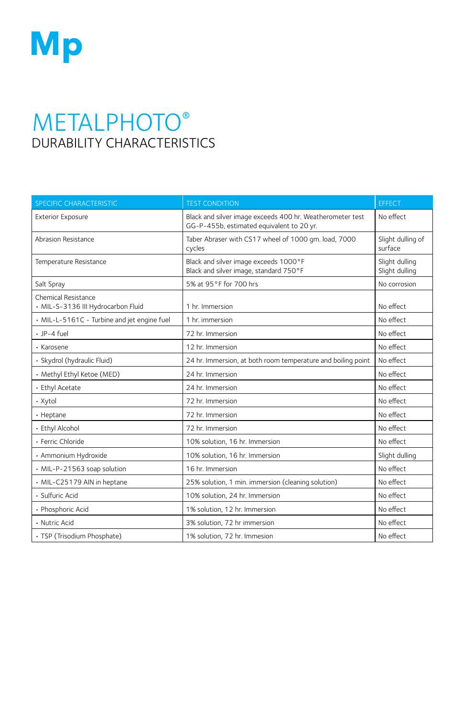

## **METALPHOTO®** DURABILITY CHARACTERISTICS

| <b>SPECIFIC CHARACTERISTIC</b>                            | <b>TEST CONDITION</b>                                                                                  | <b>EFFECT</b>                    |
|-----------------------------------------------------------|--------------------------------------------------------------------------------------------------------|----------------------------------|
| <b>Exterior Exposure</b>                                  | Black and silver image exceeds 400 hr. Weatherometer test<br>GG-P-455b, estimated equivalent to 20 yr. | No effect                        |
| Abrasion Resistance                                       | Taber Abraser with CS17 wheel of 1000 qm. load, 7000<br>cycles                                         | Slight dulling of<br>surface     |
| Temperature Resistance                                    | Black and silver image exceeds 1000°F<br>Black and silver image, standard 750°F                        | Slight dulling<br>Slight dulling |
| Salt Spray                                                | 5% at 95°F for 700 hrs                                                                                 | No corrosion                     |
| Chemical Resistance<br>· MIL-S-3136 III Hydrocarbon Fluid | 1 hr. Immersion                                                                                        | No effect                        |
| · MIL-L-5161C - Turbine and jet engine fuel               | 1 hr. immersion                                                                                        | No effect                        |
| $\cdot$ JP-4 fuel                                         | 72 hr. Immersion                                                                                       | No effect                        |
| · Karosene                                                | 12 hr. Immersion                                                                                       | No effect                        |
| · Skydrol (hydraulic Fluid)                               | 24 hr. Immersion, at both room temperature and boiling point                                           | No effect                        |
| · Methyl Ethyl Ketoe (MED)                                | 24 hr. Immersion                                                                                       | No effect                        |
| · Ethyl Acetate                                           | 24 hr. Immersion                                                                                       | No effect                        |
| · Xytol                                                   | 72 hr. Immersion                                                                                       | No effect                        |
| • Heptane                                                 | 72 hr. Immersion                                                                                       | No effect                        |
| · Ethyl Alcohol                                           | 72 hr. Immersion                                                                                       | No effect                        |
| · Ferric Chloride                                         | 10% solution, 16 hr. Immersion                                                                         | No effect                        |
| · Ammonium Hydroxide                                      | 10% solution, 16 hr. Immersion                                                                         | Slight dulling                   |
| · MIL-P-21563 soap solution                               | 16 hr. Immersion                                                                                       | No effect                        |
| · MIL-C25179 AIN in heptane                               | 25% solution, 1 min. immersion (cleaning solution)                                                     | No effect                        |
| · Sulfuric Acid                                           | 10% solution, 24 hr. Immersion                                                                         | No effect                        |
| · Phosphoric Acid                                         | 1% solution, 12 hr. Immersion                                                                          | No effect                        |
| · Nutric Acid                                             | 3% solution, 72 hr immersion                                                                           | No effect                        |
| · TSP (Trisodium Phosphate)                               | 1% solution, 72 hr. Immesion                                                                           | No effect                        |